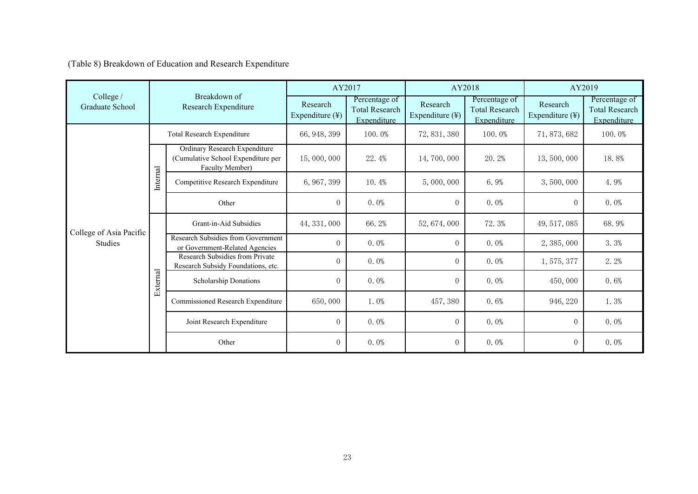(Table 8) Breakdown of Education and Research Expenditure

|                              | Breakdown of<br>Research Expenditure |                                                                                        | AY2017                      |                                                       | AY2018                      |                                                       | AY2019                      |                                                       |
|------------------------------|--------------------------------------|----------------------------------------------------------------------------------------|-----------------------------|-------------------------------------------------------|-----------------------------|-------------------------------------------------------|-----------------------------|-------------------------------------------------------|
| College /<br>Graduate School |                                      |                                                                                        | Research<br>Expenditure (¥) | Percentage of<br><b>Total Research</b><br>Expenditure | Research<br>Expenditure (¥) | Percentage of<br><b>Total Research</b><br>Expenditure | Research<br>Expenditure (¥) | Percentage of<br><b>Total Research</b><br>Expenditure |
|                              | Total Research Expenditure           |                                                                                        | 66, 948, 399                | 100.0%                                                | 72, 831, 380                | 100.0%                                                | 71, 873, 682                | 100.0%                                                |
|                              | Internal                             | Ordinary Research Expenditure<br>(Cumulative School Expenditure per<br>Faculty Member) | 15,000,000                  | 22.4%                                                 | 14,700,000                  | 20.2%                                                 | 13,500,000                  | 18.8%                                                 |
|                              |                                      | Competitive Research Expenditure                                                       | 6, 967, 399                 | 10.4%                                                 | 5,000,000                   | 6.9%                                                  | 3,500,000                   | 4.9%                                                  |
| College of Asia Pacific      |                                      | Other                                                                                  | $\overline{0}$              | $0.0\%$                                               | $\overline{0}$              | $0.0\%$                                               | $\overline{0}$              | $0.0\%$                                               |
|                              | External                             | Grant-in-Aid Subsidies                                                                 | 44, 331, 000                | 66.2%                                                 | 52, 674, 000                | 72.3%                                                 | 49, 517, 085                | 68.9%                                                 |
| <b>Studies</b>               |                                      | Research Subsidies from Government<br>or Government-Related Agencies                   | $\Omega$                    | $0.0\%$                                               | $\theta$                    | $0.0\%$                                               | 2, 385, 000                 | 3.3%                                                  |
|                              |                                      | Research Subsidies from Private<br>Research Subsidy Foundations, etc.                  | $\overline{0}$              | $0.0\%$                                               | $\mathbf{0}$                | $0.0\%$                                               | 1,575,377                   | 2.2%                                                  |
|                              |                                      | Scholarship Donations                                                                  | $\overline{0}$              | $0.0\%$                                               | $\mathbf{0}$                | $0.0\%$                                               | 450,000                     | 0.6%                                                  |
|                              |                                      | Commissioned Research Expenditure                                                      | 650,000                     | $1.0\%$                                               | 457, 380                    | 0.6%                                                  | 946, 220                    | $1.3\%$                                               |
|                              |                                      | Joint Research Expenditure                                                             | $\overline{0}$              | $0.0\%$                                               | $\theta$                    | $0.0\%$                                               | $\overline{0}$              | $0.0\%$                                               |
|                              |                                      | Other                                                                                  | $\overline{0}$              | $0.0\%$                                               | $\overline{0}$              | $0.0\%$                                               | $\overline{0}$              | $0.0\%$                                               |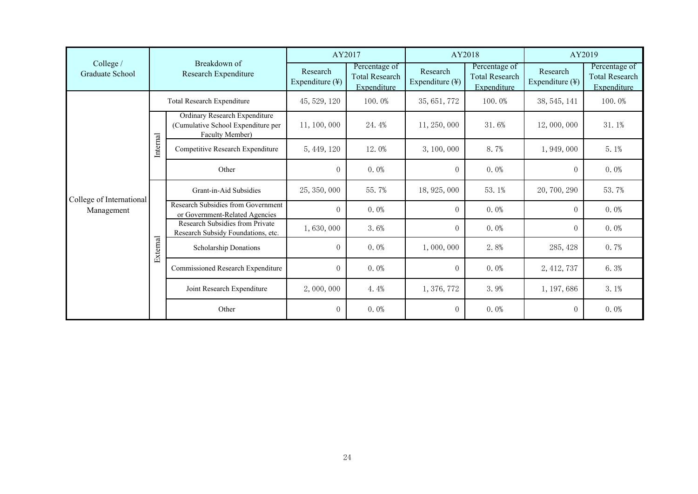|                              | Breakdown of<br>Research Expenditure |                                                                                        | AY2017                      |                                                       | AY2018                      |                                                       | AY2019                      |                                                       |
|------------------------------|--------------------------------------|----------------------------------------------------------------------------------------|-----------------------------|-------------------------------------------------------|-----------------------------|-------------------------------------------------------|-----------------------------|-------------------------------------------------------|
| College /<br>Graduate School |                                      |                                                                                        | Research<br>Expenditure (¥) | Percentage of<br><b>Total Research</b><br>Expenditure | Research<br>Expenditure (¥) | Percentage of<br><b>Total Research</b><br>Expenditure | Research<br>Expenditure (¥) | Percentage of<br><b>Total Research</b><br>Expenditure |
|                              | Total Research Expenditure           |                                                                                        | 45, 529, 120                | 100.0%                                                | 35, 651, 772                | 100.0%                                                | 38, 545, 141                | 100.0%                                                |
|                              | Internal                             | Ordinary Research Expenditure<br>(Cumulative School Expenditure per<br>Faculty Member) | 11, 100, 000                | 24.4%                                                 | 11, 250, 000                | 31.6%                                                 | 12,000,000                  | 31.1%                                                 |
|                              |                                      | Competitive Research Expenditure                                                       | 5, 449, 120                 | 12.0%                                                 | 3, 100, 000                 | 8.7%                                                  | 1,949,000                   | $5.1\%$                                               |
| College of International     |                                      | Other                                                                                  | $\overline{0}$              | $0.0\%$                                               | $\overline{0}$              | $0.0\%$                                               | $\overline{0}$              | $0.0\%$                                               |
|                              | External                             | Grant-in-Aid Subsidies                                                                 | 25, 350, 000                | 55.7%                                                 | 18, 925, 000                | 53.1%                                                 | 20, 700, 290                | 53.7%                                                 |
| Management                   |                                      | Research Subsidies from Government<br>or Government-Related Agencies                   | $\Omega$                    | $0.0\%$                                               | $\theta$                    | $0.0\%$                                               | $\overline{0}$              | $0.0\%$                                               |
|                              |                                      | Research Subsidies from Private<br>Research Subsidy Foundations, etc.                  | 1,630,000                   | $3.6\%$                                               | $\mathbf{0}$                | $0.0\%$                                               | $\overline{0}$              | $0.0\%$                                               |
|                              |                                      | Scholarship Donations                                                                  | $\overline{0}$              | $0.0\%$                                               | 1,000,000                   | 2.8%                                                  | 285, 428                    | 0.7%                                                  |
|                              |                                      | Commissioned Research Expenditure                                                      | $\overline{0}$              | $0.0\%$                                               | $\overline{0}$              | $0.0\%$                                               | 2, 412, 737                 | 6.3%                                                  |
|                              |                                      | Joint Research Expenditure                                                             | 2,000,000                   | 4.4%                                                  | 1, 376, 772                 | 3.9%                                                  | 1, 197, 686                 | $3.1\%$                                               |
|                              |                                      | Other                                                                                  | $\overline{0}$              | $0.0\%$                                               | $\overline{0}$              | $0.0\%$                                               | $\overline{0}$              | $0.0\%$                                               |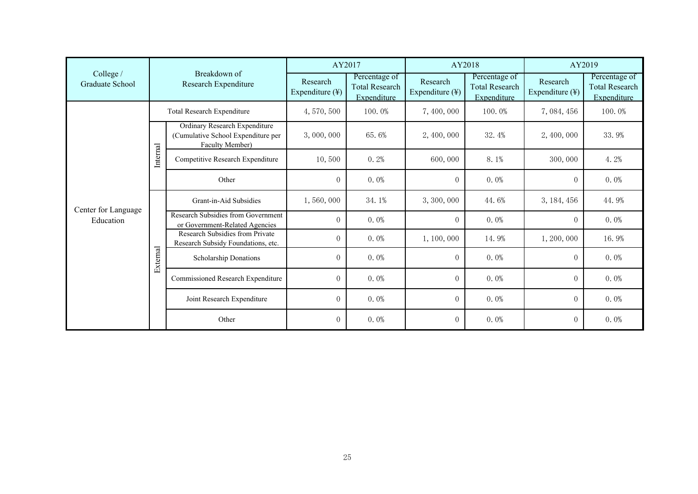|                                  | Breakdown of<br>Research Expenditure |                                                                                        | AY2017                      |                                                       | AY2018                      |                                                       | AY2019                                  |                                                       |
|----------------------------------|--------------------------------------|----------------------------------------------------------------------------------------|-----------------------------|-------------------------------------------------------|-----------------------------|-------------------------------------------------------|-----------------------------------------|-------------------------------------------------------|
| College /<br>Graduate School     |                                      |                                                                                        | Research<br>Expenditure (¥) | Percentage of<br><b>Total Research</b><br>Expenditure | Research<br>Expenditure (¥) | Percentage of<br><b>Total Research</b><br>Expenditure | Research<br>Expenditure $(\frac{1}{2})$ | Percentage of<br><b>Total Research</b><br>Expenditure |
|                                  | Total Research Expenditure           |                                                                                        | 4, 570, 500                 | 100.0%                                                | 7,400,000                   | 100.0%                                                | 7,084,456                               | 100.0%                                                |
|                                  | Internal                             | Ordinary Research Expenditure<br>(Cumulative School Expenditure per<br>Faculty Member) | 3,000,000                   | 65.6%                                                 | 2, 400, 000                 | 32.4%                                                 | 2,400,000                               | 33.9%                                                 |
|                                  |                                      | Competitive Research Expenditure                                                       | 10,500                      | 0.2%                                                  | 600,000                     | 8.1%                                                  | 300,000                                 | 4.2%                                                  |
|                                  |                                      | Other                                                                                  | $\overline{0}$              | $0.0\%$                                               | $\theta$                    | $0.0\%$                                               | $\overline{0}$                          | $0.0\%$                                               |
|                                  | External                             | Grant-in-Aid Subsidies                                                                 | 1,560,000                   | 34.1%                                                 | 3, 300, 000                 | 44.6%                                                 | 3, 184, 456                             | 44.9%                                                 |
| Center for Language<br>Education |                                      | Research Subsidies from Government<br>or Government-Related Agencies                   | $\Omega$                    | $0.0\%$                                               | $\Omega$                    | $0.0\%$                                               | $\Omega$                                | $0.0\%$                                               |
|                                  |                                      | Research Subsidies from Private<br>Research Subsidy Foundations, etc.                  | $\overline{0}$              | $0.0\%$                                               | 1, 100, 000                 | 14.9%                                                 | 1, 200, 000                             | 16.9%                                                 |
|                                  |                                      | Scholarship Donations                                                                  | $\Omega$                    | $0.0\%$                                               | $\Omega$                    | $0.0\%$                                               | $\Omega$                                | $0.0\%$                                               |
|                                  |                                      | Commissioned Research Expenditure                                                      | $\overline{0}$              | $0.0\%$                                               | $\theta$                    | $0.0\%$                                               | $\overline{0}$                          | $0.0\%$                                               |
|                                  |                                      | Joint Research Expenditure                                                             | $\overline{0}$              | $0.0\%$                                               | $\theta$                    | $0.0\%$                                               | $\overline{0}$                          | $0.0\%$                                               |
|                                  |                                      | Other                                                                                  | $\overline{0}$              | $0.0\%$                                               | $\theta$                    | $0.0\%$                                               | $\overline{0}$                          | $0.0\%$                                               |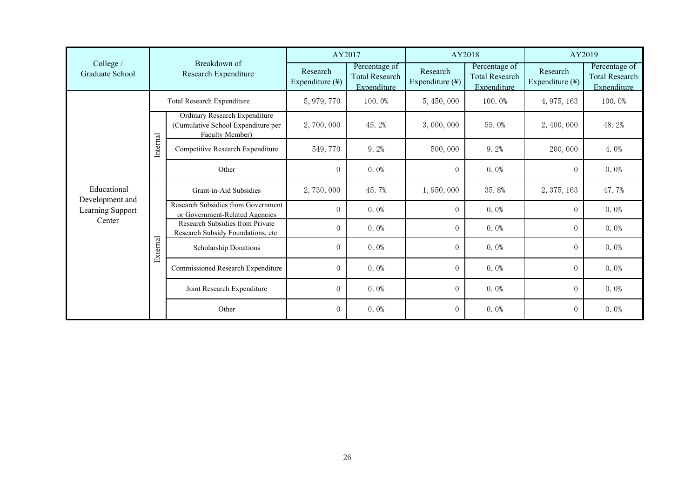|                                     | Breakdown of<br>Research Expenditure |                                                                                        | AY2017                      |                                                       | AY2018                      |                                                       | AY2019                      |                                                       |
|-------------------------------------|--------------------------------------|----------------------------------------------------------------------------------------|-----------------------------|-------------------------------------------------------|-----------------------------|-------------------------------------------------------|-----------------------------|-------------------------------------------------------|
| College /<br>Graduate School        |                                      |                                                                                        | Research<br>Expenditure (¥) | Percentage of<br><b>Total Research</b><br>Expenditure | Research<br>Expenditure (¥) | Percentage of<br><b>Total Research</b><br>Expenditure | Research<br>Expenditure (¥) | Percentage of<br><b>Total Research</b><br>Expenditure |
|                                     | Total Research Expenditure           |                                                                                        | 5, 979, 770                 | 100.0%                                                | 5, 450, 000                 | 100.0%                                                | 4, 975, 163                 | 100.0%                                                |
| Educational                         | Internal                             | Ordinary Research Expenditure<br>(Cumulative School Expenditure per<br>Faculty Member) | 2,700,000                   | 45.2%                                                 | 3,000,000                   | 55.0%                                                 | 2, 400, 000                 | 48.2%                                                 |
|                                     |                                      | Competitive Research Expenditure                                                       | 549,770                     | 9.2%                                                  | 500,000                     | $9.2\%$                                               | 200,000                     | $4.0\%$                                               |
|                                     |                                      | Other                                                                                  | $\overline{0}$              | $0.0\%$                                               | $\overline{0}$              | $0.0\%$                                               | $\overline{0}$              | $0.0\%$                                               |
|                                     | External                             | Grant-in-Aid Subsidies                                                                 | 2,730,000                   | 45.7%                                                 | 1,950,000                   | 35.8%                                                 | 2, 375, 163                 | 47.7%                                                 |
| Development and<br>Learning Support |                                      | Research Subsidies from Government<br>or Government-Related Agencies                   | $\Omega$                    | $0.0\%$                                               | $\theta$                    | $0.0\%$                                               | $\overline{0}$              | $0.0\%$                                               |
| Center                              |                                      | Research Subsidies from Private<br>Research Subsidy Foundations, etc.                  | $\overline{0}$              | $0.0\%$                                               | $\boldsymbol{0}$            | $0.0\%$                                               | $\overline{0}$              | $0.0\%$                                               |
|                                     |                                      | Scholarship Donations                                                                  | $\overline{0}$              | $0.0\%$                                               | $\theta$                    | $0.0\%$                                               | $\overline{0}$              | $0.0\%$                                               |
|                                     |                                      | Commissioned Research Expenditure                                                      | $\overline{0}$              | $0.0\%$                                               | $\theta$                    | $0.0\%$                                               | $\overline{0}$              | $0.0\%$                                               |
|                                     |                                      | Joint Research Expenditure                                                             | $\overline{0}$              | $0.0\%$                                               | $\overline{0}$              | $0.0\%$                                               | $\Omega$                    | $0.0\%$                                               |
|                                     |                                      | Other                                                                                  | $\overline{0}$              | $0.0\%$                                               | $\overline{0}$              | $0.0\%$                                               | $\overline{0}$              | $0.0\%$                                               |